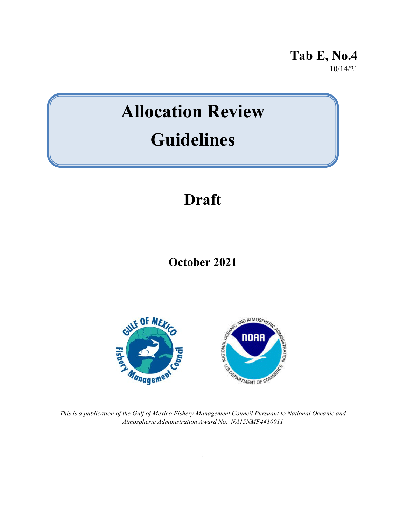**Tab E, No.4** 10/14/21

# **Allocation Review Guidelines**

# **Draft**

**October 2021**



*This is a publication of the Gulf of Mexico Fishery Management Council Pursuant to National Oceanic and Atmospheric Administration Award No. NA15NMF4410011*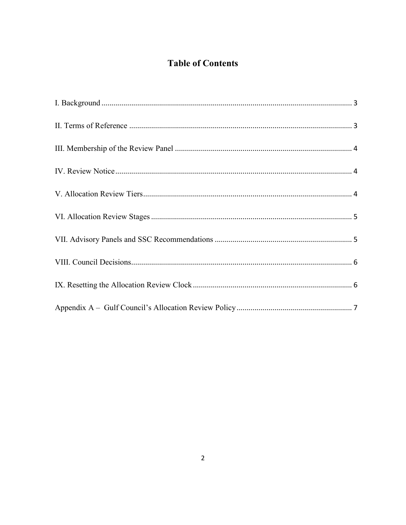# **Table of Contents**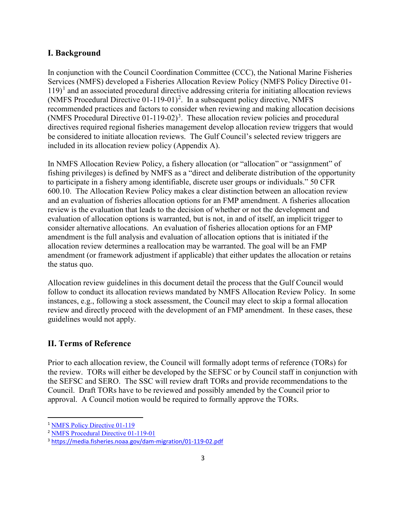# <span id="page-2-0"></span>**I. Background**

In conjunction with the Council Coordination Committee (CCC), the National Marine Fisheries Services (NMFS) developed a Fisheries Allocation Review Policy (NMFS Policy Directive 01-  $119$  $119$ <sup>1</sup> and an associated procedural directive addressing criteria for initiating allocation reviews (NMFS Procedural Directive  $(01-119-01)^2$  $(01-119-01)^2$ . In a subsequent policy directive, NMFS recommended practices and factors to consider when reviewing and making allocation decisions (NMFS Procedural Directive  $01-119-02$ )<sup>[3](#page-2-4)</sup>. These allocation review policies and procedural directives required regional fisheries management develop allocation review triggers that would be considered to initiate allocation reviews. The Gulf Council's selected review triggers are included in its allocation review policy (Appendix A).

In NMFS Allocation Review Policy, a fishery allocation (or "allocation" or "assignment" of fishing privileges) is defined by NMFS as a "direct and deliberate distribution of the opportunity to participate in a fishery among identifiable, discrete user groups or individuals." 50 CFR 600.10. The Allocation Review Policy makes a clear distinction between an allocation review and an evaluation of fisheries allocation options for an FMP amendment. A fisheries allocation review is the evaluation that leads to the decision of whether or not the development and evaluation of allocation options is warranted, but is not, in and of itself, an implicit trigger to consider alternative allocations. An evaluation of fisheries allocation options for an FMP amendment is the full analysis and evaluation of allocation options that is initiated if the allocation review determines a reallocation may be warranted. The goal will be an FMP amendment (or framework adjustment if applicable) that either updates the allocation or retains the status quo.

Allocation review guidelines in this document detail the process that the Gulf Council would follow to conduct its allocation reviews mandated by NMFS Allocation Review Policy. In some instances, e.g., following a stock assessment, the Council may elect to skip a formal allocation review and directly proceed with the development of an FMP amendment. In these cases, these guidelines would not apply.

# <span id="page-2-1"></span>**II. Terms of Reference**

Prior to each allocation review, the Council will formally adopt terms of reference (TORs) for the review. TORs will either be developed by the SEFSC or by Council staff in conjunction with the SEFSC and SERO. The SSC will review draft TORs and provide recommendations to the Council. Draft TORs have to be reviewed and possibly amended by the Council prior to approval. A Council motion would be required to formally approve the TORs.

<span id="page-2-2"></span><sup>&</sup>lt;sup>1</sup> [NMFS Policy Directive 01-119](http://gulfcouncil.org/wp-content/uploads/NMFS-Fisheries-Allocation-Review-Policy-01-119.pdf)

<span id="page-2-3"></span><sup>2</sup> [NMFS Procedural Directive 01-119-01](http://gulfcouncil.org/wp-content/uploads/Allocation-Trigger-01-119-01.pdf)

<span id="page-2-4"></span><sup>3</sup> <https://media.fisheries.noaa.gov/dam-migration/01-119-02.pdf>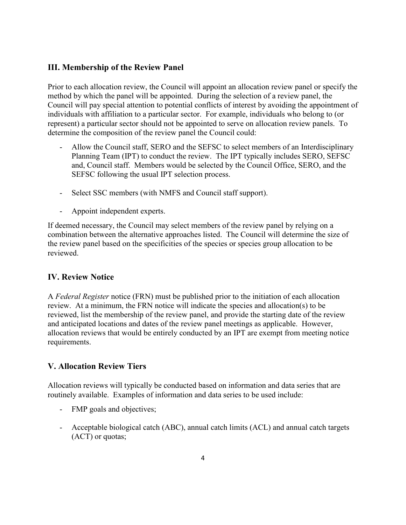# <span id="page-3-0"></span>**III. Membership of the Review Panel**

Prior to each allocation review, the Council will appoint an allocation review panel or specify the method by which the panel will be appointed. During the selection of a review panel, the Council will pay special attention to potential conflicts of interest by avoiding the appointment of individuals with affiliation to a particular sector. For example, individuals who belong to (or represent) a particular sector should not be appointed to serve on allocation review panels. To determine the composition of the review panel the Council could:

- Allow the Council staff, SERO and the SEFSC to select members of an Interdisciplinary Planning Team (IPT) to conduct the review. The IPT typically includes SERO, SEFSC and, Council staff. Members would be selected by the Council Office, SERO, and the SEFSC following the usual IPT selection process.
- Select SSC members (with NMFS and Council staff support).
- Appoint independent experts.

If deemed necessary, the Council may select members of the review panel by relying on a combination between the alternative approaches listed. The Council will determine the size of the review panel based on the specificities of the species or species group allocation to be reviewed.

# <span id="page-3-1"></span>**IV. Review Notice**

A *Federal Register* notice (FRN) must be published prior to the initiation of each allocation review. At a minimum, the FRN notice will indicate the species and allocation(s) to be reviewed, list the membership of the review panel, and provide the starting date of the review and anticipated locations and dates of the review panel meetings as applicable. However, allocation reviews that would be entirely conducted by an IPT are exempt from meeting notice requirements.

# <span id="page-3-2"></span>**V. Allocation Review Tiers**

Allocation reviews will typically be conducted based on information and data series that are routinely available. Examples of information and data series to be used include:

- FMP goals and objectives;
- Acceptable biological catch (ABC), annual catch limits (ACL) and annual catch targets (ACT) or quotas;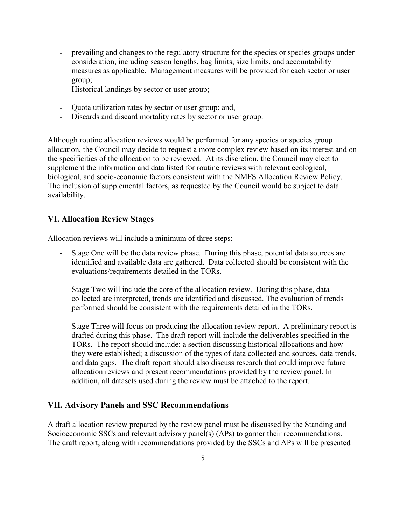- prevailing and changes to the regulatory structure for the species or species groups under consideration, including season lengths, bag limits, size limits, and accountability measures as applicable. Management measures will be provided for each sector or user group;
- Historical landings by sector or user group;
- Quota utilization rates by sector or user group; and,
- Discards and discard mortality rates by sector or user group.

Although routine allocation reviews would be performed for any species or species group allocation, the Council may decide to request a more complex review based on its interest and on the specificities of the allocation to be reviewed. At its discretion, the Council may elect to supplement the information and data listed for routine reviews with relevant ecological, biological, and socio-economic factors consistent with the NMFS Allocation Review Policy. The inclusion of supplemental factors, as requested by the Council would be subject to data availability.

# <span id="page-4-0"></span>**VI. Allocation Review Stages**

Allocation reviews will include a minimum of three steps:

- Stage One will be the data review phase. During this phase, potential data sources are identified and available data are gathered. Data collected should be consistent with the evaluations/requirements detailed in the TORs.
- Stage Two will include the core of the allocation review. During this phase, data collected are interpreted, trends are identified and discussed. The evaluation of trends performed should be consistent with the requirements detailed in the TORs.
- Stage Three will focus on producing the allocation review report. A preliminary report is drafted during this phase. The draft report will include the deliverables specified in the TORs. The report should include: a section discussing historical allocations and how they were established; a discussion of the types of data collected and sources, data trends, and data gaps. The draft report should also discuss research that could improve future allocation reviews and present recommendations provided by the review panel. In addition, all datasets used during the review must be attached to the report.

# <span id="page-4-1"></span>**VII. Advisory Panels and SSC Recommendations**

A draft allocation review prepared by the review panel must be discussed by the Standing and Socioeconomic SSCs and relevant advisory panel(s) (APs) to garner their recommendations. The draft report, along with recommendations provided by the SSCs and APs will be presented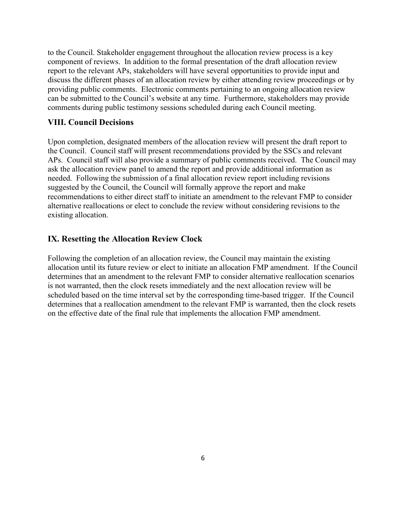to the Council. Stakeholder engagement throughout the allocation review process is a key component of reviews. In addition to the formal presentation of the draft allocation review report to the relevant APs, stakeholders will have several opportunities to provide input and discuss the different phases of an allocation review by either attending review proceedings or by providing public comments. Electronic comments pertaining to an ongoing allocation review can be submitted to the Council's website at any time. Furthermore, stakeholders may provide comments during public testimony sessions scheduled during each Council meeting.

#### <span id="page-5-0"></span>**VIII. Council Decisions**

Upon completion, designated members of the allocation review will present the draft report to the Council. Council staff will present recommendations provided by the SSCs and relevant APs. Council staff will also provide a summary of public comments received. The Council may ask the allocation review panel to amend the report and provide additional information as needed. Following the submission of a final allocation review report including revisions suggested by the Council, the Council will formally approve the report and make recommendations to either direct staff to initiate an amendment to the relevant FMP to consider alternative reallocations or elect to conclude the review without considering revisions to the existing allocation.

#### <span id="page-5-1"></span>**IX. Resetting the Allocation Review Clock**

Following the completion of an allocation review, the Council may maintain the existing allocation until its future review or elect to initiate an allocation FMP amendment. If the Council determines that an amendment to the relevant FMP to consider alternative reallocation scenarios is not warranted, then the clock resets immediately and the next allocation review will be scheduled based on the time interval set by the corresponding time-based trigger. If the Council determines that a reallocation amendment to the relevant FMP is warranted, then the clock resets on the effective date of the final rule that implements the allocation FMP amendment.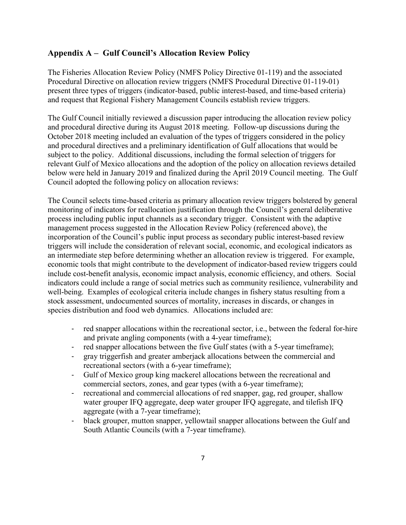# <span id="page-6-0"></span>**Appendix A – Gulf Council's Allocation Review Policy**

The Fisheries Allocation Review Policy (NMFS Policy Directive 01-119) and the associated Procedural Directive on allocation review triggers (NMFS Procedural Directive 01-119-01) present three types of triggers (indicator-based, public interest-based, and time-based criteria) and request that Regional Fishery Management Councils establish review triggers.

The Gulf Council initially reviewed a discussion paper introducing the allocation review policy and procedural directive during its August 2018 meeting. Follow-up discussions during the October 2018 meeting included an evaluation of the types of triggers considered in the policy and procedural directives and a preliminary identification of Gulf allocations that would be subject to the policy. Additional discussions, including the formal selection of triggers for relevant Gulf of Mexico allocations and the adoption of the policy on allocation reviews detailed below were held in January 2019 and finalized during the April 2019 Council meeting. The Gulf Council adopted the following policy on allocation reviews:

The Council selects time-based criteria as primary allocation review triggers bolstered by general monitoring of indicators for reallocation justification through the Council's general deliberative process including public input channels as a secondary trigger. Consistent with the adaptive management process suggested in the Allocation Review Policy (referenced above), the incorporation of the Council's public input process as secondary public interest-based review triggers will include the consideration of relevant social, economic, and ecological indicators as an intermediate step before determining whether an allocation review is triggered. For example, economic tools that might contribute to the development of indicator-based review triggers could include cost-benefit analysis, economic impact analysis, economic efficiency, and others. Social indicators could include a range of social metrics such as community resilience, vulnerability and well-being. Examples of ecological criteria include changes in fishery status resulting from a stock assessment, undocumented sources of mortality, increases in discards, or changes in species distribution and food web dynamics. Allocations included are:

- red snapper allocations within the recreational sector, i.e., between the federal for-hire and private angling components (with a 4-year timeframe);
- red snapper allocations between the five Gulf states (with a 5-year timeframe);
- gray triggerfish and greater amberjack allocations between the commercial and recreational sectors (with a 6-year timeframe);
- Gulf of Mexico group king mackerel allocations between the recreational and commercial sectors, zones, and gear types (with a 6-year timeframe);
- recreational and commercial allocations of red snapper, gag, red grouper, shallow water grouper IFQ aggregate, deep water grouper IFQ aggregate, and tilefish IFQ aggregate (with a 7-year timeframe);
- black grouper, mutton snapper, yellowtail snapper allocations between the Gulf and South Atlantic Councils (with a 7-year timeframe).